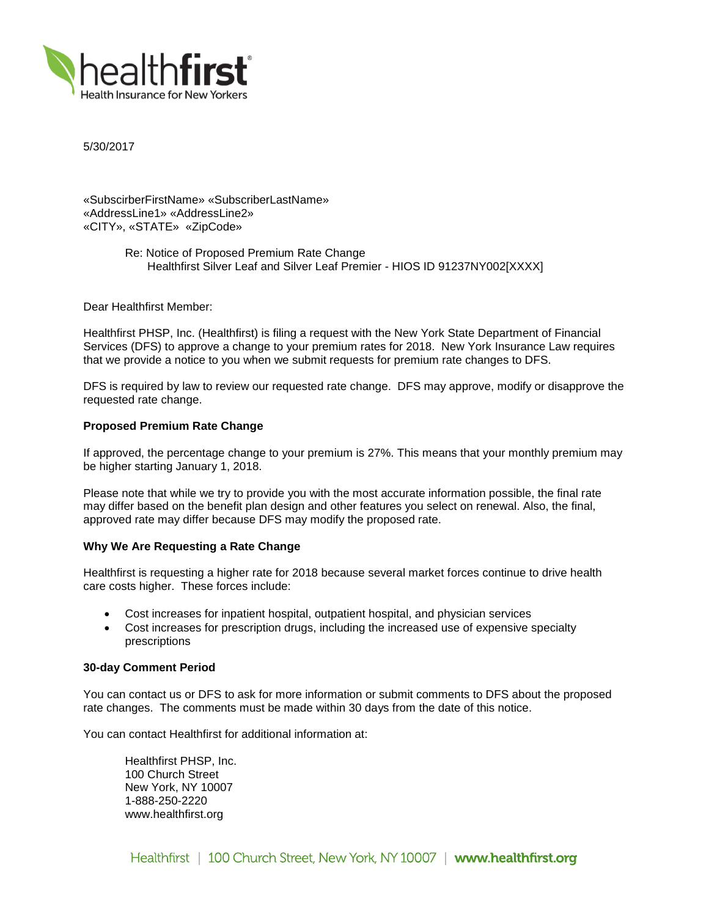

5/30/2017

«SubscirberFirstName» «SubscriberLastName» «AddressLine1» «AddressLine2» «CITY», «STATE» «ZipCode»

> Re: Notice of Proposed Premium Rate Change Healthfirst Silver Leaf and Silver Leaf Premier - HIOS ID 91237NY002[XXXX]

Dear Healthfirst Member:

Healthfirst PHSP, Inc. (Healthfirst) is filing a request with the New York State Department of Financial Services (DFS) to approve a change to your premium rates for 2018. New York Insurance Law requires that we provide a notice to you when we submit requests for premium rate changes to DFS.

DFS is required by law to review our requested rate change. DFS may approve, modify or disapprove the requested rate change.

# **Proposed Premium Rate Change**

If approved, the percentage change to your premium is 27%. This means that your monthly premium may be higher starting January 1, 2018.

Please note that while we try to provide you with the most accurate information possible, the final rate may differ based on the benefit plan design and other features you select on renewal. Also, the final, approved rate may differ because DFS may modify the proposed rate.

### **Why We Are Requesting a Rate Change**

Healthfirst is requesting a higher rate for 2018 because several market forces continue to drive health care costs higher. These forces include:

- Cost increases for inpatient hospital, outpatient hospital, and physician services
- Cost increases for prescription drugs, including the increased use of expensive specialty prescriptions

### **30-day Comment Period**

You can contact us or DFS to ask for more information or submit comments to DFS about the proposed rate changes. The comments must be made within 30 days from the date of this notice.

You can contact Healthfirst for additional information at:

Healthfirst PHSP, Inc. 100 Church Street New York, NY 10007 1-888-250-2220 www.healthfirst.org